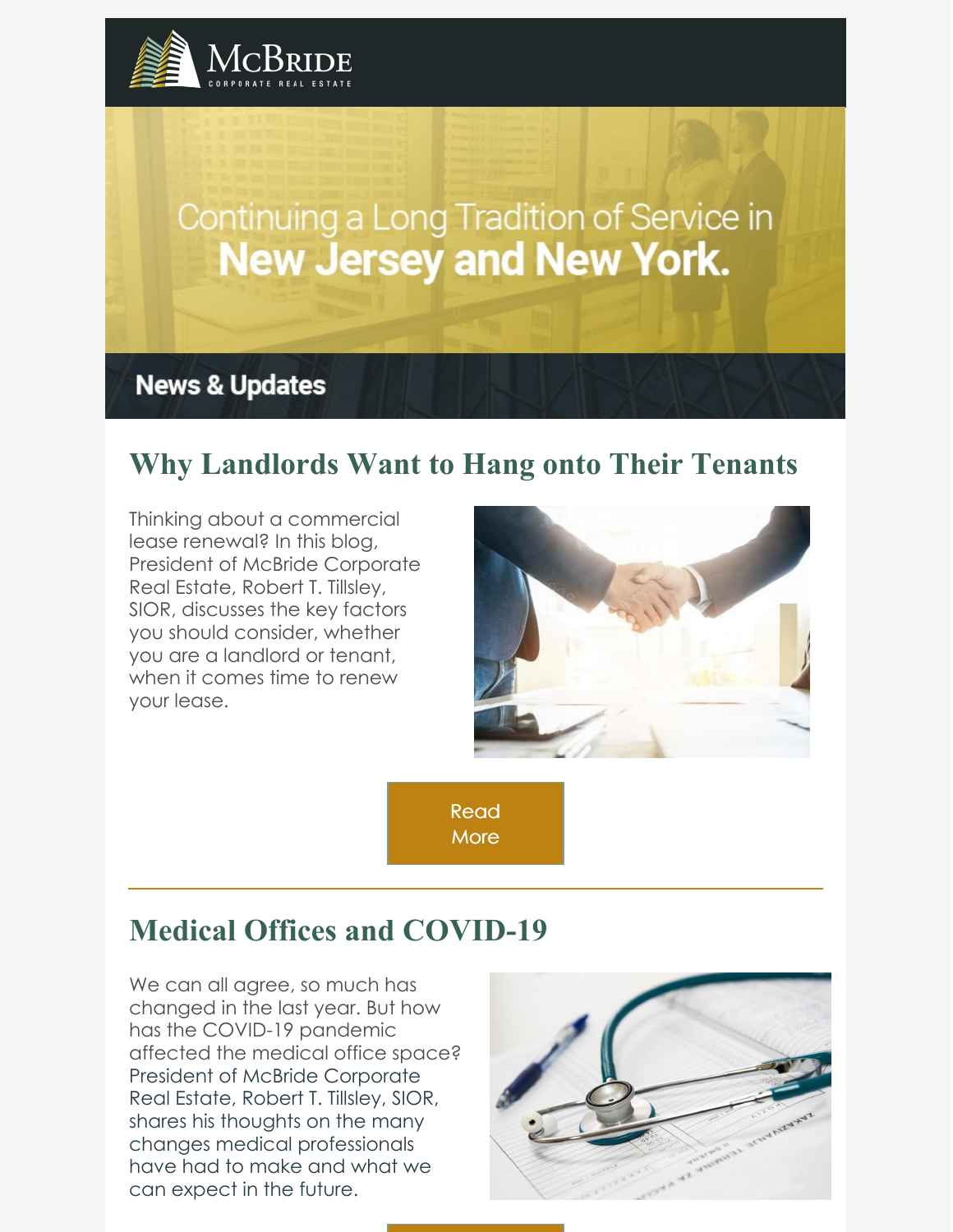

# Continuing a Long Tradition of Service in **New Jersey and New York.**

**News & Updates** 

## **Why Landlords Want to Hang onto Their Tenants**

Thinking about a commercial lease renewal? In this blog, President of McBride Corporate Real Estate, Robert T. Tillsley, SIOR, discusses the key factors you should consider, whether you are a landlord or tenant, when it comes time to renew your lease.



[Read](https://www.mcbridecorpre.com/why-landlords-want-to-hang-onto-their-tenants/) **More** 

## **Medical Offices and COVID-19**

We can all agree, so much has changed in the last year. But how has the COVID-19 pandemic affected the medical office space? President of McBride Corporate Real Estate, Robert T. Tillsley, SIOR, shares his thoughts on the many changes medical professionals have had to make and what we can expect in the future.

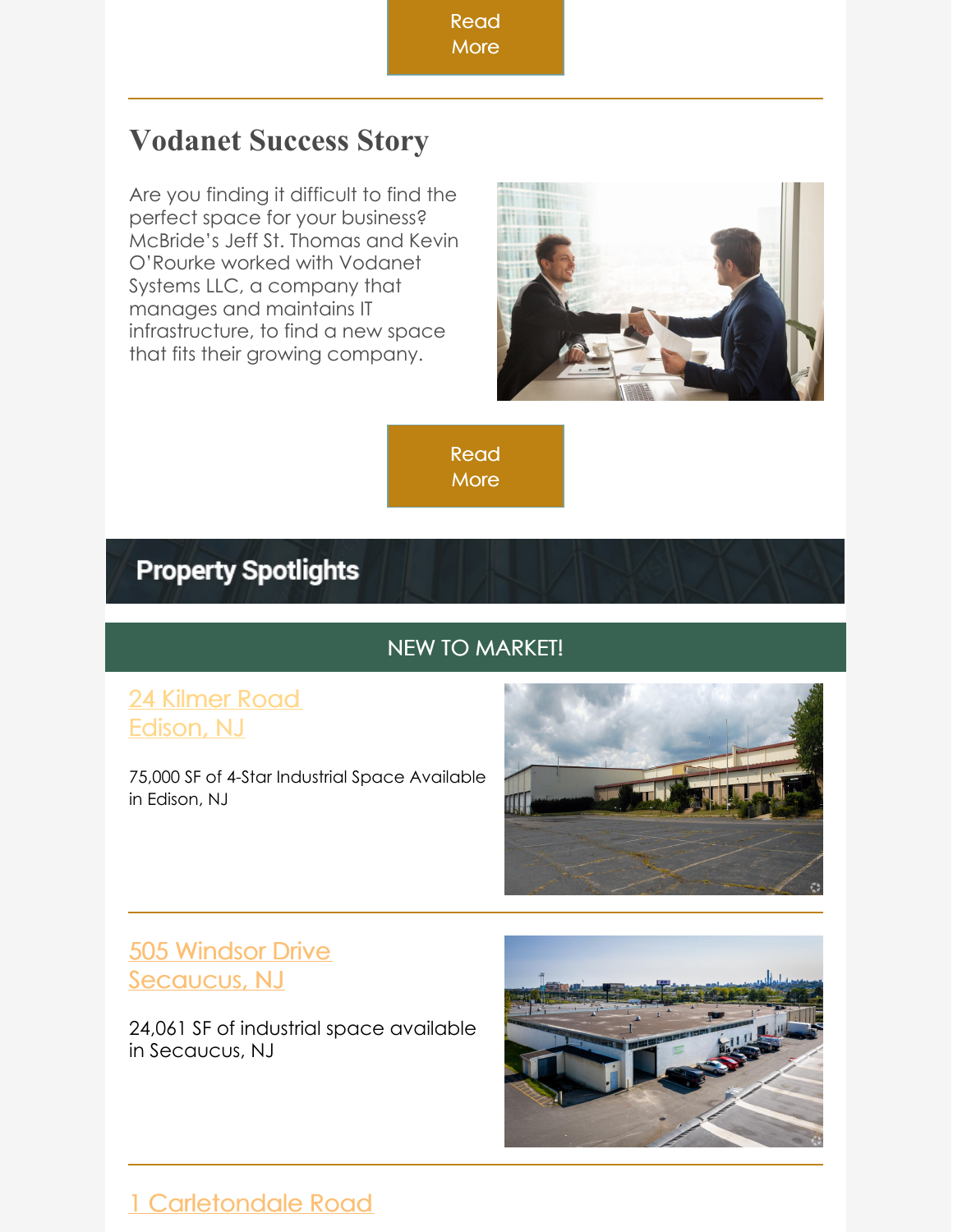[Read](https://www.mcbridecorpre.com/whats-transpired-in-medical-offices-since-the-covid-outbreak/)

#### **More**

## **Vodanet Success Story**

Are you finding it difficult to find the perfect space for your business? McBride's Jeff St. Thomas and Kevin O'Rourke worked with Vodanet Systems LLC, a company that manages and maintains IT infrastructure, to find a new space that fits their growing company.



[Read](https://www.mcbridecorpre.com/success-stories/) **More** 

## **Property Spotlights**

#### NEW TO MARKET!

#### 24 [Kilmer](https://looplink.mcbridecorpre.com/Listing/24-Kilmer-Rd-Edison-NJ/22712104/) Road [Edison,](https://looplink.mcbridecorpre.com/Listing/24-Kilmer-Rd-Edison-NJ/22712104/) NJ

75,000 SF of 4-Star Industrial Space Available in Edison, NJ



#### 505 [Windsor](https://www.loopnet.com/Listing/505-507-Windsor-Dr-Secaucus-NJ/22604789/) Drive [Secaucus,](https://www.loopnet.com/Listing/505-507-Windsor-Dr-Secaucus-NJ/22604789/) NJ

24,061 SF of industrial space available in Secaucus, NJ



### 1 [Carletondale](https://www.loopnet.com/Listing/1-Carletondale-Rd-Ringwood-NJ/21518514/) Road